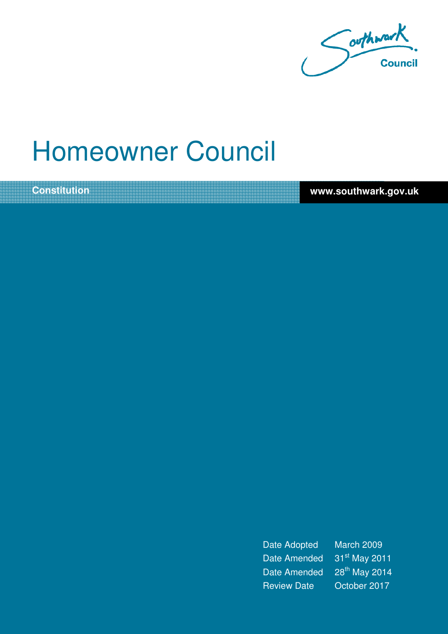

# Homeowner Council

**Constitution www.southwark.gov.uk** 

Date Adopted March 2009 Date Amended 31<sup>st</sup> May 2011 Date Amended 28<sup>th</sup> May 2014 Review Date October 2017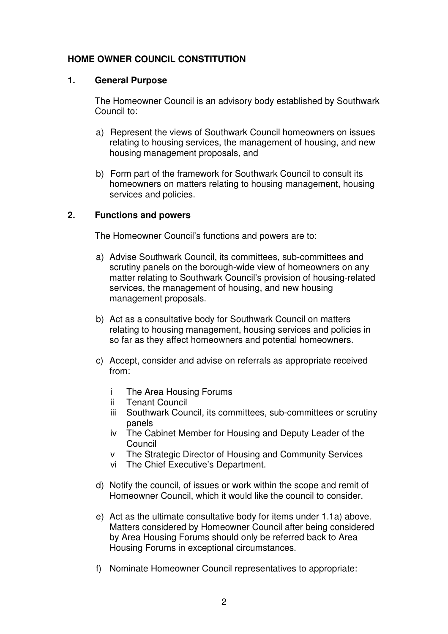# **HOME OWNER COUNCIL CONSTITUTION**

## **1. General Purpose**

The Homeowner Council is an advisory body established by Southwark Council to:

- a) Represent the views of Southwark Council homeowners on issues relating to housing services, the management of housing, and new housing management proposals, and
- b) Form part of the framework for Southwark Council to consult its homeowners on matters relating to housing management, housing services and policies.

## **2. Functions and powers**

The Homeowner Council's functions and powers are to:

- a) Advise Southwark Council, its committees, sub-committees and scrutiny panels on the borough-wide view of homeowners on any matter relating to Southwark Council's provision of housing-related services, the management of housing, and new housing management proposals.
- b) Act as a consultative body for Southwark Council on matters relating to housing management, housing services and policies in so far as they affect homeowners and potential homeowners.
- c) Accept, consider and advise on referrals as appropriate received from:
	- i The Area Housing Forums
	- ii Tenant Council
	- iii Southwark Council, its committees, sub-committees or scrutiny panels
	- iv The Cabinet Member for Housing and Deputy Leader of the Council
	- v The Strategic Director of Housing and Community Services
	- vi The Chief Executive's Department.
- d) Notify the council, of issues or work within the scope and remit of Homeowner Council, which it would like the council to consider.
- e) Act as the ultimate consultative body for items under 1.1a) above. Matters considered by Homeowner Council after being considered by Area Housing Forums should only be referred back to Area Housing Forums in exceptional circumstances.
- f) Nominate Homeowner Council representatives to appropriate: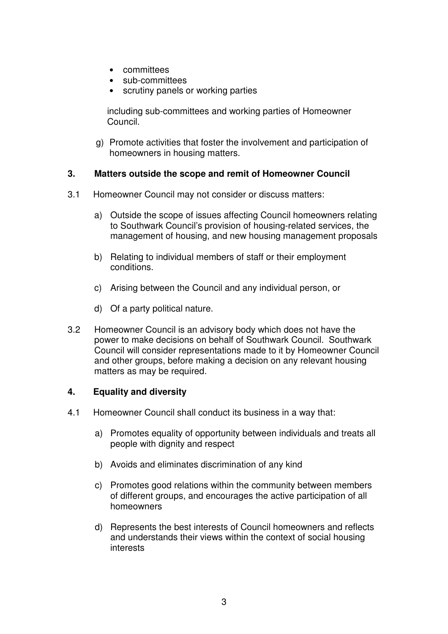- committees
- sub-committees
- scrutiny panels or working parties

including sub-committees and working parties of Homeowner Council.

g) Promote activities that foster the involvement and participation of homeowners in housing matters.

## **3. Matters outside the scope and remit of Homeowner Council**

- 3.1 Homeowner Council may not consider or discuss matters:
	- a) Outside the scope of issues affecting Council homeowners relating to Southwark Council's provision of housing-related services, the management of housing, and new housing management proposals
	- b) Relating to individual members of staff or their employment conditions.
	- c) Arising between the Council and any individual person, or
	- d) Of a party political nature.
- 3.2 Homeowner Council is an advisory body which does not have the power to make decisions on behalf of Southwark Council. Southwark Council will consider representations made to it by Homeowner Council and other groups, before making a decision on any relevant housing matters as may be required.

# **4. Equality and diversity**

- 4.1 Homeowner Council shall conduct its business in a way that:
	- a) Promotes equality of opportunity between individuals and treats all people with dignity and respect
	- b) Avoids and eliminates discrimination of any kind
	- c) Promotes good relations within the community between members of different groups, and encourages the active participation of all homeowners
	- d) Represents the best interests of Council homeowners and reflects and understands their views within the context of social housing **interests**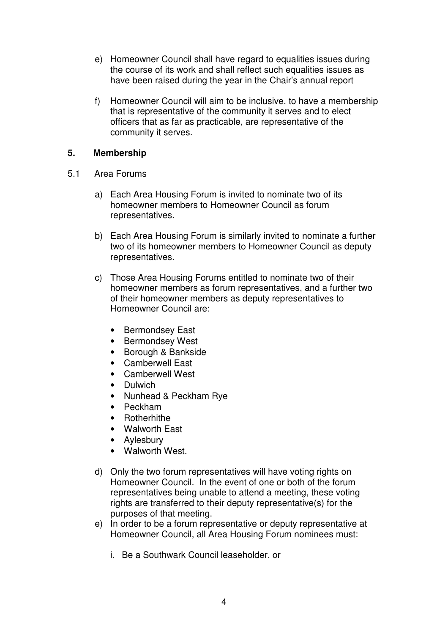- e) Homeowner Council shall have regard to equalities issues during the course of its work and shall reflect such equalities issues as have been raised during the year in the Chair's annual report
- f) Homeowner Council will aim to be inclusive, to have a membership that is representative of the community it serves and to elect officers that as far as practicable, are representative of the community it serves.

# **5. Membership**

- 5.1 Area Forums
	- a) Each Area Housing Forum is invited to nominate two of its homeowner members to Homeowner Council as forum representatives.
	- b) Each Area Housing Forum is similarly invited to nominate a further two of its homeowner members to Homeowner Council as deputy representatives.
	- c) Those Area Housing Forums entitled to nominate two of their homeowner members as forum representatives, and a further two of their homeowner members as deputy representatives to Homeowner Council are:
		- Bermondsey East
		- Bermondsey West
		- Borough & Bankside
		- Camberwell East
		- Camberwell West
		- Dulwich
		- Nunhead & Peckham Rye
		- Peckham
		- Rotherhithe
		- Walworth East
		- Aylesbury
		- Walworth West.
	- d) Only the two forum representatives will have voting rights on Homeowner Council. In the event of one or both of the forum representatives being unable to attend a meeting, these voting rights are transferred to their deputy representative(s) for the purposes of that meeting.
	- e) In order to be a forum representative or deputy representative at Homeowner Council, all Area Housing Forum nominees must:
		- i. Be a Southwark Council leaseholder, or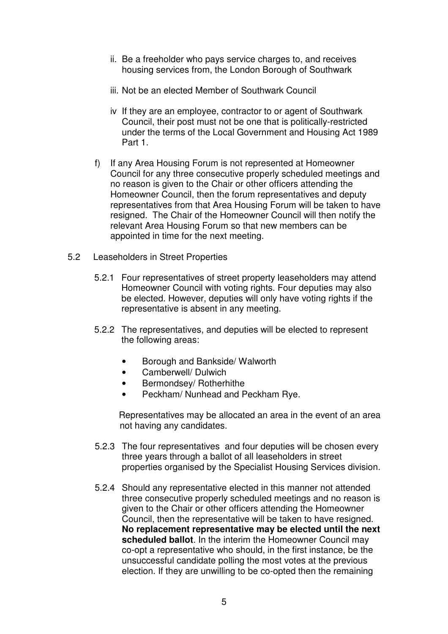- ii. Be a freeholder who pays service charges to, and receives housing services from, the London Borough of Southwark
- iii. Not be an elected Member of Southwark Council
- iv If they are an employee, contractor to or agent of Southwark Council, their post must not be one that is politically-restricted under the terms of the Local Government and Housing Act 1989 Part 1.
- f) If any Area Housing Forum is not represented at Homeowner Council for any three consecutive properly scheduled meetings and no reason is given to the Chair or other officers attending the Homeowner Council, then the forum representatives and deputy representatives from that Area Housing Forum will be taken to have resigned. The Chair of the Homeowner Council will then notify the relevant Area Housing Forum so that new members can be appointed in time for the next meeting.
- 5.2 Leaseholders in Street Properties
	- 5.2.1 Four representatives of street property leaseholders may attend Homeowner Council with voting rights. Four deputies may also be elected. However, deputies will only have voting rights if the representative is absent in any meeting.
	- 5.2.2 The representatives, and deputies will be elected to represent the following areas:
		- Borough and Bankside/ Walworth
		- Camberwell/ Dulwich
		- Bermondsey/ Rotherhithe
		- Peckham/ Nunhead and Peckham Rye.

Representatives may be allocated an area in the event of an area not having any candidates.

- 5.2.3 The four representatives and four deputies will be chosen every three years through a ballot of all leaseholders in street properties organised by the Specialist Housing Services division.
- 5.2.4 Should any representative elected in this manner not attended three consecutive properly scheduled meetings and no reason is given to the Chair or other officers attending the Homeowner Council, then the representative will be taken to have resigned. **No replacement representative may be elected until the next scheduled ballot**. In the interim the Homeowner Council may co-opt a representative who should, in the first instance, be the unsuccessful candidate polling the most votes at the previous election. If they are unwilling to be co-opted then the remaining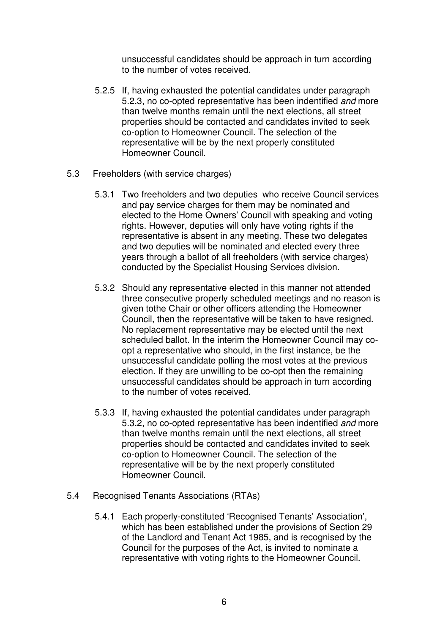unsuccessful candidates should be approach in turn according to the number of votes received.

- 5.2.5 If, having exhausted the potential candidates under paragraph 5.2.3, no co-opted representative has been indentified and more than twelve months remain until the next elections, all street properties should be contacted and candidates invited to seek co-option to Homeowner Council. The selection of the representative will be by the next properly constituted Homeowner Council.
- 5.3 Freeholders (with service charges)
	- 5.3.1 Two freeholders and two deputies who receive Council services and pay service charges for them may be nominated and elected to the Home Owners' Council with speaking and voting rights. However, deputies will only have voting rights if the representative is absent in any meeting. These two delegates and two deputies will be nominated and elected every three years through a ballot of all freeholders (with service charges) conducted by the Specialist Housing Services division.
	- 5.3.2 Should any representative elected in this manner not attended three consecutive properly scheduled meetings and no reason is given tothe Chair or other officers attending the Homeowner Council, then the representative will be taken to have resigned. No replacement representative may be elected until the next scheduled ballot. In the interim the Homeowner Council may coopt a representative who should, in the first instance, be the unsuccessful candidate polling the most votes at the previous election. If they are unwilling to be co-opt then the remaining unsuccessful candidates should be approach in turn according to the number of votes received.
	- 5.3.3 If, having exhausted the potential candidates under paragraph 5.3.2, no co-opted representative has been indentified and more than twelve months remain until the next elections, all street properties should be contacted and candidates invited to seek co-option to Homeowner Council. The selection of the representative will be by the next properly constituted Homeowner Council.
- 5.4 Recognised Tenants Associations (RTAs)
	- 5.4.1 Each properly-constituted 'Recognised Tenants' Association', which has been established under the provisions of Section 29 of the Landlord and Tenant Act 1985, and is recognised by the Council for the purposes of the Act, is invited to nominate a representative with voting rights to the Homeowner Council.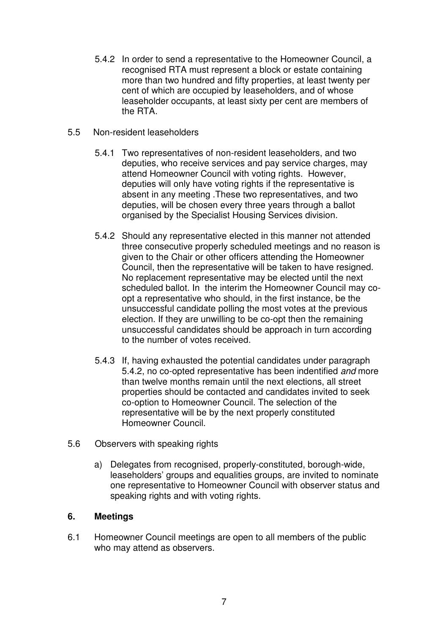- 5.4.2 In order to send a representative to the Homeowner Council, a recognised RTA must represent a block or estate containing more than two hundred and fifty properties, at least twenty per cent of which are occupied by leaseholders, and of whose leaseholder occupants, at least sixty per cent are members of the RTA.
- 5.5 Non-resident leaseholders
	- 5.4.1 Two representatives of non-resident leaseholders, and two deputies, who receive services and pay service charges, may attend Homeowner Council with voting rights. However, deputies will only have voting rights if the representative is absent in any meeting .These two representatives, and two deputies, will be chosen every three years through a ballot organised by the Specialist Housing Services division.
	- 5.4.2 Should any representative elected in this manner not attended three consecutive properly scheduled meetings and no reason is given to the Chair or other officers attending the Homeowner Council, then the representative will be taken to have resigned. No replacement representative may be elected until the next scheduled ballot. In the interim the Homeowner Council may coopt a representative who should, in the first instance, be the unsuccessful candidate polling the most votes at the previous election. If they are unwilling to be co-opt then the remaining unsuccessful candidates should be approach in turn according to the number of votes received.
	- 5.4.3 If, having exhausted the potential candidates under paragraph 5.4.2, no co-opted representative has been indentified and more than twelve months remain until the next elections, all street properties should be contacted and candidates invited to seek co-option to Homeowner Council. The selection of the representative will be by the next properly constituted Homeowner Council.
- 5.6 Observers with speaking rights
	- a) Delegates from recognised, properly-constituted, borough-wide, leaseholders' groups and equalities groups, are invited to nominate one representative to Homeowner Council with observer status and speaking rights and with voting rights.

# **6. Meetings**

6.1 Homeowner Council meetings are open to all members of the public who may attend as observers.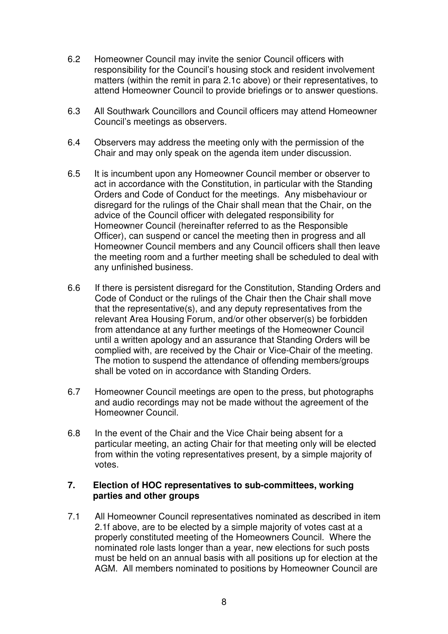- 6.2 Homeowner Council may invite the senior Council officers with responsibility for the Council's housing stock and resident involvement matters (within the remit in para 2.1c above) or their representatives, to attend Homeowner Council to provide briefings or to answer questions.
- 6.3 All Southwark Councillors and Council officers may attend Homeowner Council's meetings as observers.
- 6.4 Observers may address the meeting only with the permission of the Chair and may only speak on the agenda item under discussion.
- 6.5 It is incumbent upon any Homeowner Council member or observer to act in accordance with the Constitution, in particular with the Standing Orders and Code of Conduct for the meetings. Any misbehaviour or disregard for the rulings of the Chair shall mean that the Chair, on the advice of the Council officer with delegated responsibility for Homeowner Council (hereinafter referred to as the Responsible Officer), can suspend or cancel the meeting then in progress and all Homeowner Council members and any Council officers shall then leave the meeting room and a further meeting shall be scheduled to deal with any unfinished business.
- 6.6 If there is persistent disregard for the Constitution, Standing Orders and Code of Conduct or the rulings of the Chair then the Chair shall move that the representative(s), and any deputy representatives from the relevant Area Housing Forum, and/or other observer(s) be forbidden from attendance at any further meetings of the Homeowner Council until a written apology and an assurance that Standing Orders will be complied with, are received by the Chair or Vice-Chair of the meeting. The motion to suspend the attendance of offending members/groups shall be voted on in accordance with Standing Orders.
- 6.7 Homeowner Council meetings are open to the press, but photographs and audio recordings may not be made without the agreement of the Homeowner Council.
- 6.8 In the event of the Chair and the Vice Chair being absent for a particular meeting, an acting Chair for that meeting only will be elected from within the voting representatives present, by a simple majority of votes.

## **7. Election of HOC representatives to sub-committees, working parties and other groups**

7.1 All Homeowner Council representatives nominated as described in item 2.1f above, are to be elected by a simple majority of votes cast at a properly constituted meeting of the Homeowners Council. Where the nominated role lasts longer than a year, new elections for such posts must be held on an annual basis with all positions up for election at the AGM. All members nominated to positions by Homeowner Council are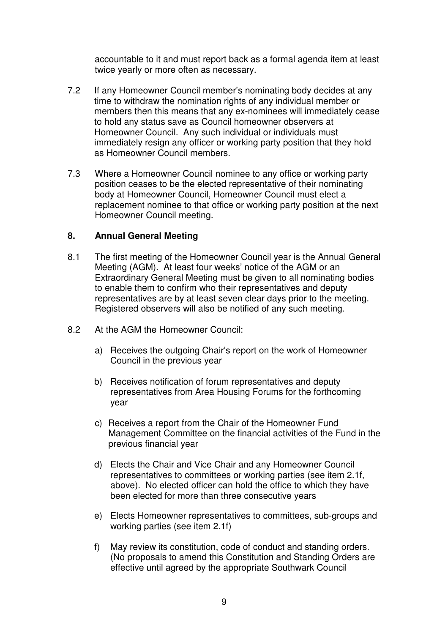accountable to it and must report back as a formal agenda item at least twice yearly or more often as necessary.

- 7.2 If any Homeowner Council member's nominating body decides at any time to withdraw the nomination rights of any individual member or members then this means that any ex-nominees will immediately cease to hold any status save as Council homeowner observers at Homeowner Council. Any such individual or individuals must immediately resign any officer or working party position that they hold as Homeowner Council members.
- 7.3 Where a Homeowner Council nominee to any office or working party position ceases to be the elected representative of their nominating body at Homeowner Council, Homeowner Council must elect a replacement nominee to that office or working party position at the next Homeowner Council meeting.

## **8. Annual General Meeting**

- 8.1 The first meeting of the Homeowner Council year is the Annual General Meeting (AGM). At least four weeks' notice of the AGM or an Extraordinary General Meeting must be given to all nominating bodies to enable them to confirm who their representatives and deputy representatives are by at least seven clear days prior to the meeting. Registered observers will also be notified of any such meeting.
- 8.2 At the AGM the Homeowner Council:
	- a) Receives the outgoing Chair's report on the work of Homeowner Council in the previous year
	- b) Receives notification of forum representatives and deputy representatives from Area Housing Forums for the forthcoming year
	- c) Receives a report from the Chair of the Homeowner Fund Management Committee on the financial activities of the Fund in the previous financial year
	- d) Elects the Chair and Vice Chair and any Homeowner Council representatives to committees or working parties (see item 2.1f, above). No elected officer can hold the office to which they have been elected for more than three consecutive years
	- e) Elects Homeowner representatives to committees, sub-groups and working parties (see item 2.1f)
	- f) May review its constitution, code of conduct and standing orders. (No proposals to amend this Constitution and Standing Orders are effective until agreed by the appropriate Southwark Council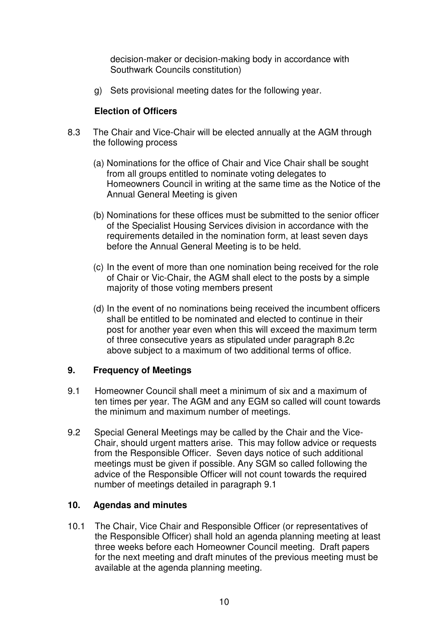decision-maker or decision-making body in accordance with Southwark Councils constitution)

g) Sets provisional meeting dates for the following year.

# **Election of Officers**

- 8.3 The Chair and Vice-Chair will be elected annually at the AGM through the following process
	- (a) Nominations for the office of Chair and Vice Chair shall be sought from all groups entitled to nominate voting delegates to Homeowners Council in writing at the same time as the Notice of the Annual General Meeting is given
	- (b) Nominations for these offices must be submitted to the senior officer of the Specialist Housing Services division in accordance with the requirements detailed in the nomination form, at least seven days before the Annual General Meeting is to be held.
	- (c) In the event of more than one nomination being received for the role of Chair or Vic-Chair, the AGM shall elect to the posts by a simple majority of those voting members present
	- (d) In the event of no nominations being received the incumbent officers shall be entitled to be nominated and elected to continue in their post for another year even when this will exceed the maximum term of three consecutive years as stipulated under paragraph 8.2c above subject to a maximum of two additional terms of office.

# **9. Frequency of Meetings**

- 9.1 Homeowner Council shall meet a minimum of six and a maximum of ten times per year. The AGM and any EGM so called will count towards the minimum and maximum number of meetings.
- 9.2 Special General Meetings may be called by the Chair and the Vice-Chair, should urgent matters arise. This may follow advice or requests from the Responsible Officer. Seven days notice of such additional meetings must be given if possible. Any SGM so called following the advice of the Responsible Officer will not count towards the required number of meetings detailed in paragraph 9.1

# **10. Agendas and minutes**

10.1 The Chair, Vice Chair and Responsible Officer (or representatives of the Responsible Officer) shall hold an agenda planning meeting at least three weeks before each Homeowner Council meeting. Draft papers for the next meeting and draft minutes of the previous meeting must be available at the agenda planning meeting.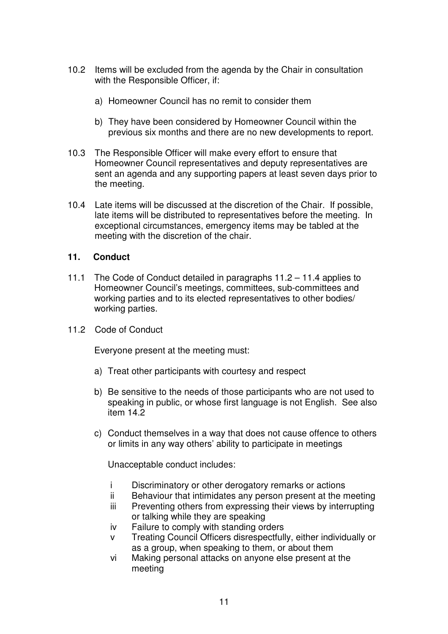- 10.2 Items will be excluded from the agenda by the Chair in consultation with the Responsible Officer, if:
	- a) Homeowner Council has no remit to consider them
	- b) They have been considered by Homeowner Council within the previous six months and there are no new developments to report.
- 10.3 The Responsible Officer will make every effort to ensure that Homeowner Council representatives and deputy representatives are sent an agenda and any supporting papers at least seven days prior to the meeting.
- 10.4 Late items will be discussed at the discretion of the Chair. If possible, late items will be distributed to representatives before the meeting. In exceptional circumstances, emergency items may be tabled at the meeting with the discretion of the chair.

## **11. Conduct**

- 11.1 The Code of Conduct detailed in paragraphs 11.2 11.4 applies to Homeowner Council's meetings, committees, sub-committees and working parties and to its elected representatives to other bodies/ working parties.
- 11.2 Code of Conduct

Everyone present at the meeting must:

- a) Treat other participants with courtesy and respect
- b) Be sensitive to the needs of those participants who are not used to speaking in public, or whose first language is not English. See also item 14.2
- c) Conduct themselves in a way that does not cause offence to others or limits in any way others' ability to participate in meetings

Unacceptable conduct includes:

- i Discriminatory or other derogatory remarks or actions
- ii Behaviour that intimidates any person present at the meeting
- iii Preventing others from expressing their views by interrupting or talking while they are speaking
- iv Failure to comply with standing orders
- v Treating Council Officers disrespectfully, either individually or as a group, when speaking to them, or about them
- vi Making personal attacks on anyone else present at the meeting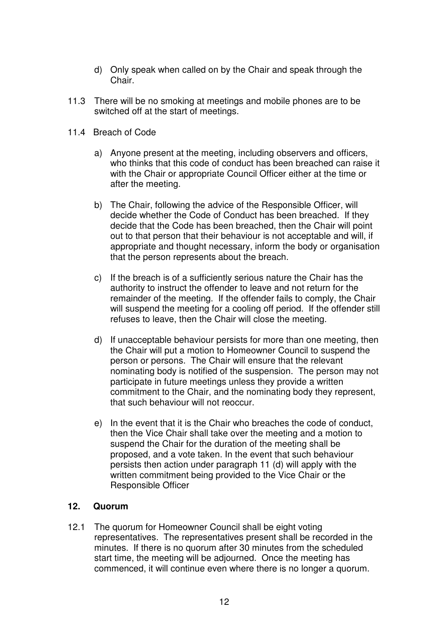- d) Only speak when called on by the Chair and speak through the Chair.
- 11.3 There will be no smoking at meetings and mobile phones are to be switched off at the start of meetings.
- 11.4 Breach of Code
	- a) Anyone present at the meeting, including observers and officers, who thinks that this code of conduct has been breached can raise it with the Chair or appropriate Council Officer either at the time or after the meeting.
	- b) The Chair, following the advice of the Responsible Officer, will decide whether the Code of Conduct has been breached. If they decide that the Code has been breached, then the Chair will point out to that person that their behaviour is not acceptable and will, if appropriate and thought necessary, inform the body or organisation that the person represents about the breach.
	- c) If the breach is of a sufficiently serious nature the Chair has the authority to instruct the offender to leave and not return for the remainder of the meeting. If the offender fails to comply, the Chair will suspend the meeting for a cooling off period. If the offender still refuses to leave, then the Chair will close the meeting.
	- d) If unacceptable behaviour persists for more than one meeting, then the Chair will put a motion to Homeowner Council to suspend the person or persons. The Chair will ensure that the relevant nominating body is notified of the suspension. The person may not participate in future meetings unless they provide a written commitment to the Chair, and the nominating body they represent, that such behaviour will not reoccur.
	- e) In the event that it is the Chair who breaches the code of conduct, then the Vice Chair shall take over the meeting and a motion to suspend the Chair for the duration of the meeting shall be proposed, and a vote taken. In the event that such behaviour persists then action under paragraph 11 (d) will apply with the written commitment being provided to the Vice Chair or the Responsible Officer

## **12. Quorum**

12.1 The quorum for Homeowner Council shall be eight voting representatives. The representatives present shall be recorded in the minutes. If there is no quorum after 30 minutes from the scheduled start time, the meeting will be adjourned. Once the meeting has commenced, it will continue even where there is no longer a quorum.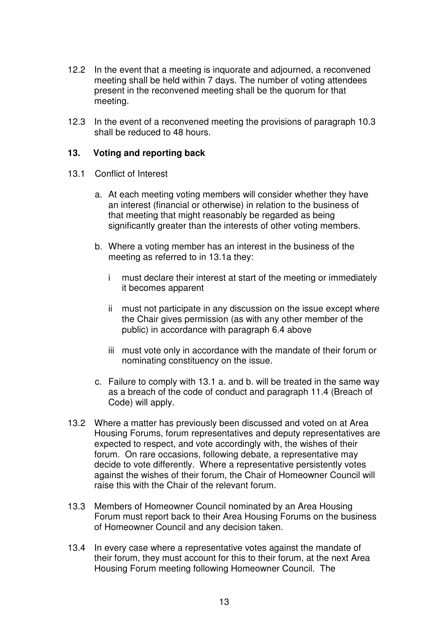- 12.2 In the event that a meeting is inquorate and adjourned, a reconvened meeting shall be held within 7 days. The number of voting attendees present in the reconvened meeting shall be the quorum for that meeting.
- 12.3 In the event of a reconvened meeting the provisions of paragraph 10.3 shall be reduced to 48 hours.

## **13. Voting and reporting back**

- 13.1 Conflict of Interest
	- a. At each meeting voting members will consider whether they have an interest (financial or otherwise) in relation to the business of that meeting that might reasonably be regarded as being significantly greater than the interests of other voting members.
	- b. Where a voting member has an interest in the business of the meeting as referred to in 13.1a they:
		- i must declare their interest at start of the meeting or immediately it becomes apparent
		- ii must not participate in any discussion on the issue except where the Chair gives permission (as with any other member of the public) in accordance with paragraph 6.4 above
		- iii must vote only in accordance with the mandate of their forum or nominating constituency on the issue.
	- c. Failure to comply with 13.1 a. and b. will be treated in the same way as a breach of the code of conduct and paragraph 11.4 (Breach of Code) will apply.
- 13.2 Where a matter has previously been discussed and voted on at Area Housing Forums, forum representatives and deputy representatives are expected to respect, and vote accordingly with, the wishes of their forum. On rare occasions, following debate, a representative may decide to vote differently. Where a representative persistently votes against the wishes of their forum, the Chair of Homeowner Council will raise this with the Chair of the relevant forum.
- 13.3 Members of Homeowner Council nominated by an Area Housing Forum must report back to their Area Housing Forums on the business of Homeowner Council and any decision taken.
- 13.4 In every case where a representative votes against the mandate of their forum, they must account for this to their forum, at the next Area Housing Forum meeting following Homeowner Council. The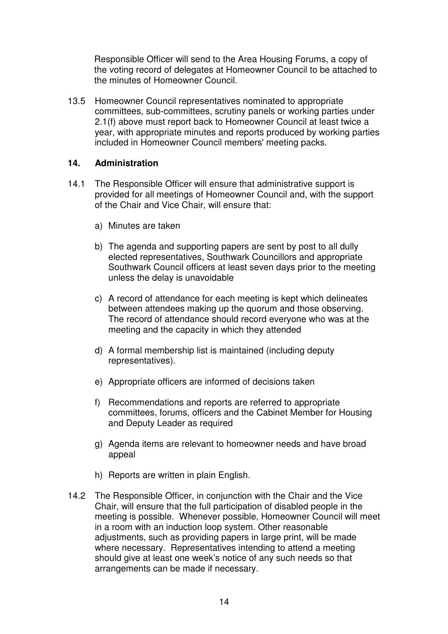Responsible Officer will send to the Area Housing Forums, a copy of the voting record of delegates at Homeowner Council to be attached to the minutes of Homeowner Council.

13.5 Homeowner Council representatives nominated to appropriate committees, sub-committees, scrutiny panels or working parties under 2.1(f) above must report back to Homeowner Council at least twice a year, with appropriate minutes and reports produced by working parties included in Homeowner Council members' meeting packs.

## **14. Administration**

- 14.1 The Responsible Officer will ensure that administrative support is provided for all meetings of Homeowner Council and, with the support of the Chair and Vice Chair, will ensure that:
	- a) Minutes are taken
	- b) The agenda and supporting papers are sent by post to all dully elected representatives, Southwark Councillors and appropriate Southwark Council officers at least seven days prior to the meeting unless the delay is unavoidable
	- c) A record of attendance for each meeting is kept which delineates between attendees making up the quorum and those observing. The record of attendance should record everyone who was at the meeting and the capacity in which they attended
	- d) A formal membership list is maintained (including deputy representatives).
	- e) Appropriate officers are informed of decisions taken
	- f) Recommendations and reports are referred to appropriate committees, forums, officers and the Cabinet Member for Housing and Deputy Leader as required
	- g) Agenda items are relevant to homeowner needs and have broad appeal
	- h) Reports are written in plain English.
- 14.2 The Responsible Officer, in conjunction with the Chair and the Vice Chair, will ensure that the full participation of disabled people in the meeting is possible. Whenever possible, Homeowner Council will meet in a room with an induction loop system. Other reasonable adjustments, such as providing papers in large print, will be made where necessary. Representatives intending to attend a meeting should give at least one week's notice of any such needs so that arrangements can be made if necessary.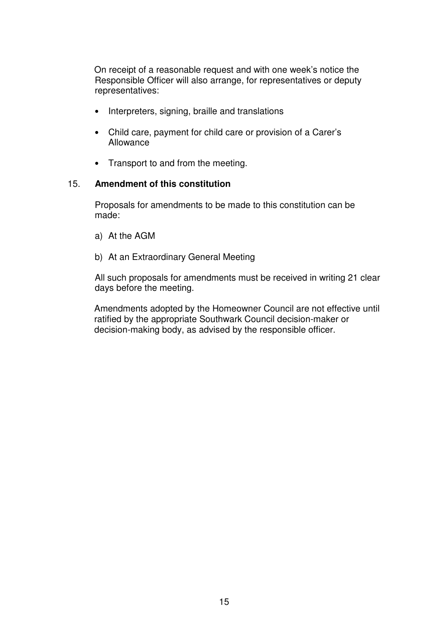On receipt of a reasonable request and with one week's notice the Responsible Officer will also arrange, for representatives or deputy representatives:

- Interpreters, signing, braille and translations
- Child care, payment for child care or provision of a Carer's Allowance
- Transport to and from the meeting.

#### 15. **Amendment of this constitution**

 Proposals for amendments to be made to this constitution can be made:

- a) At the AGM
- b) At an Extraordinary General Meeting

All such proposals for amendments must be received in writing 21 clear days before the meeting.

Amendments adopted by the Homeowner Council are not effective until ratified by the appropriate Southwark Council decision-maker or decision-making body, as advised by the responsible officer.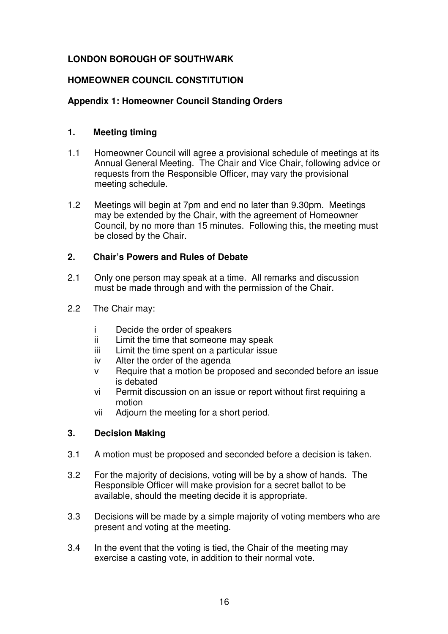# **LONDON BOROUGH OF SOUTHWARK**

# **HOMEOWNER COUNCIL CONSTITUTION**

# **Appendix 1: Homeowner Council Standing Orders**

# **1. Meeting timing**

- 1.1 Homeowner Council will agree a provisional schedule of meetings at its Annual General Meeting. The Chair and Vice Chair, following advice or requests from the Responsible Officer, may vary the provisional meeting schedule.
- 1.2 Meetings will begin at 7pm and end no later than 9.30pm. Meetings may be extended by the Chair, with the agreement of Homeowner Council, by no more than 15 minutes. Following this, the meeting must be closed by the Chair.

# **2. Chair's Powers and Rules of Debate**

- 2.1 Only one person may speak at a time. All remarks and discussion must be made through and with the permission of the Chair.
- 2.2 The Chair may:
	- i Decide the order of speakers
	- ii Limit the time that someone may speak
	- iii Limit the time spent on a particular issue
	- iv Alter the order of the agenda
	- v Require that a motion be proposed and seconded before an issue is debated
	- vi Permit discussion on an issue or report without first requiring a motion
	- vii Adjourn the meeting for a short period.

# **3. Decision Making**

- 3.1 A motion must be proposed and seconded before a decision is taken.
- 3.2 For the majority of decisions, voting will be by a show of hands. The Responsible Officer will make provision for a secret ballot to be available, should the meeting decide it is appropriate.
- 3.3 Decisions will be made by a simple majority of voting members who are present and voting at the meeting.
- 3.4 In the event that the voting is tied, the Chair of the meeting may exercise a casting vote, in addition to their normal vote.